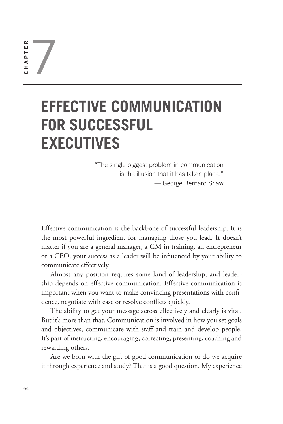7  $\simeq$ 64**CHAPTER** HAPTE

# **EFFECTIVE COMMUNICATION FOR SUCCESSFUL EXECUTIVES**

"The single biggest problem in communication is the illusion that it has taken place." — George Bernard Shaw

Effective communication is the backbone of successful leadership. It is the most powerful ingredient for managing those you lead. It doesn't matter if you are a general manager, a GM in training, an entrepreneur or a CEO, your success as a leader will be influenced by your ability to communicate effectively.

Almost any position requires some kind of leadership, and leadership depends on effective communication. Effective communication is important when you want to make convincing presentations with confidence, negotiate with ease or resolve conflicts quickly.

The ability to get your message across effectively and clearly is vital. But it's more than that. Communication is involved in how you set goals and objectives, communicate with staff and train and develop people. It's part of instructing, encouraging, correcting, presenting, coaching and rewarding others.

Are we born with the gift of good communication or do we acquire it through experience and study? That is a good question. My experience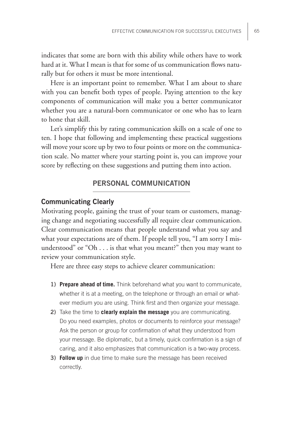indicates that some are born with this ability while others have to work hard at it. What I mean is that for some of us communication flows naturally but for others it must be more intentional.

Here is an important point to remember. What I am about to share with you can benefit both types of people. Paying attention to the key components of communication will make you a better communicator whether you are a natural-born communicator or one who has to learn to hone that skill.

Let's simplify this by rating communication skills on a scale of one to ten. I hope that following and implementing these practical suggestions will move your score up by two to four points or more on the communication scale. No matter where your starting point is, you can improve your score by reflecting on these suggestions and putting them into action.

## **PERSONAL COMMUNICATION**

### **Communicating Clearly**

Motivating people, gaining the trust of your team or customers, managing change and negotiating successfully all require clear communication. Clear communication means that people understand what you say and what your expectations are of them. If people tell you, "I am sorry I misunderstood" or "Oh . . . is that what you meant?" then you may want to review your communication style.

Here are three easy steps to achieve clearer communication:

- **1) Prepare ahead of time.** Think beforehand what you want to communicate, whether it is at a meeting, on the telephone or through an email or whatever medium you are using. Think first and then organize your message.
- **2)** Take the time to **clearly explain the message** you are communicating. Do you need examples, photos or documents to reinforce your message? Ask the person or group for confirmation of what they understood from your message. Be diplomatic, but a timely, quick confirmation is a sign of caring, and it also emphasizes that communication is a two-way process.
- **3) Follow up** in due time to make sure the message has been received correctly.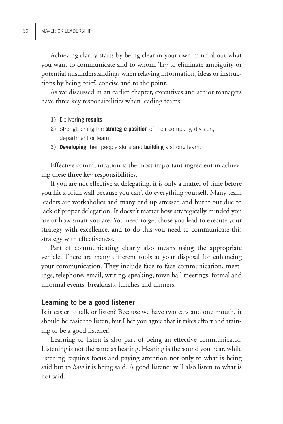Achieving clarity starts by being clear in your own mind about what you want to communicate and to whom. Try to eliminate ambiguity or potential misunderstandings when relaying information, ideas or instructions by being brief, concise and to the point.

As we discussed in an earlier chapter, executives and senior managers have three key responsibilities when leading teams:

- **1)** Delivering **results**.
- **2)** Strengthening the **strategic position** of their company, division, department or team.
- **3) Developing** their people skills and **building** a strong team.

Effective communication is the most important ingredient in achieving these three key responsibilities.

If you are not effective at delegating, it is only a matter of time before you hit a brick wall because you can't do everything yourself. Many team leaders are workaholics and many end up stressed and burnt out due to lack of proper delegation. It doesn't matter how strategically minded you are or how smart you are. You need to get those you lead to execute your strategy with excellence, and to do this you need to communicate this strategy with effectiveness.

Part of communicating clearly also means using the appropriate vehicle. There are many different tools at your disposal for enhancing your communication. They include face-to-face communication, meetings, telephone, email, writing, speaking, town hall meetings, formal and informal events, breakfasts, lunches and dinners.

#### **Learning to be a good listener**

Is it easier to talk or listen? Because we have two ears and one mouth, it should be easier to listen, but I bet you agree that it takes effort and training to be a good listener!

Learning to listen is also part of being an effective communicator. Listening is not the same as hearing. Hearing is the sound you hear, while listening requires focus and paying attention not only to what is being said but to *how* it is being said. A good listener will also listen to what is not said.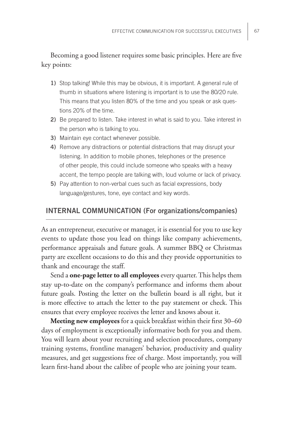# Becoming a good listener requires some basic principles. Here are five key points:

- **1)** Stop talking! While this may be obvious, it is important. A general rule of thumb in situations where listening is important is to use the 80/20 rule. This means that you listen 80% of the time and you speak or ask questions 20% of the time.
- **2)** Be prepared to listen. Take interest in what is said to you. Take interest in the person who is talking to you.
- **3)** Maintain eye contact whenever possible.
- **4)** Remove any distractions or potential distractions that may disrupt your listening. In addition to mobile phones, telephones or the presence of other people, this could include someone who speaks with a heavy accent, the tempo people are talking with, loud volume or lack of privacy.
- **5)** Pay attention to non-verbal cues such as facial expressions, body language/gestures, tone, eye contact and key words.

## **INTERNAL COMMUNICATION (For organizations/companies)**

As an entrepreneur, executive or manager, it is essential for you to use key events to update those you lead on things like company achievements, performance appraisals and future goals. A summer BBQ or Christmas party are excellent occasions to do this and they provide opportunities to thank and encourage the staff.

Send a **one-page letter to all employees** every quarter. This helps them stay up-to-date on the company's performance and informs them about future goals. Posting the letter on the bulletin board is all right, but it is more effective to attach the letter to the pay statement or check. This ensures that every employee receives the letter and knows about it.

**Meeting new employees** for a quick breakfast within their first 30–60 days of employment is exceptionally informative both for you and them. You will learn about your recruiting and selection procedures, company training systems, frontline managers' behavior, productivity and quality measures, and get suggestions free of charge. Most importantly, you will learn first-hand about the calibre of people who are joining your team.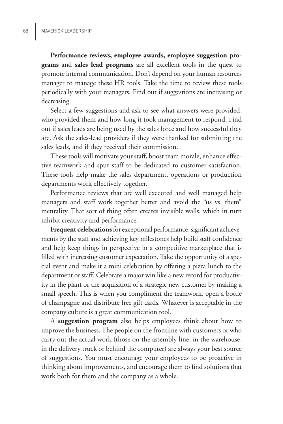**Performance reviews, employee awards, employee suggestion programs** and **sales lead programs** are all excellent tools in the quest to promote internal communication. Don't depend on your human resources manager to manage these HR tools. Take the time to review these tools periodically with your managers. Find out if suggestions are increasing or decreasing.

Select a few suggestions and ask to see what answers were provided, who provided them and how long it took management to respond. Find out if sales leads are being used by the sales force and how successful they are. Ask the sales-lead providers if they were thanked for submitting the sales leads, and if they received their commission.

These tools will motivate your staff, boost team morale, enhance effective teamwork and spur staff to be dedicated to customer satisfaction. These tools help make the sales department, operations or production departments work effectively together.

Performance reviews that are well executed and well managed help managers and staff work together better and avoid the "us vs. them" mentality. That sort of thing often creates invisible walls, which in turn inhibit creativity and performance.

**Frequent celebrations** for exceptional performance, significant achievements by the staff and achieving key milestones help build staff confidence and help keep things in perspective in a competitive marketplace that is filled with increasing customer expectation. Take the opportunity of a special event and make it a mini celebration by offering a pizza lunch to the department or staff. Celebrate a major win like a new record for productivity in the plant or the acquisition of a strategic new customer by making a small speech. This is when you compliment the teamwork, open a bottle of champagne and distribute free gift cards. Whatever is acceptable in the company culture is a great communication tool.

A **suggestion program** also helps employees think about how to improve the business. The people on the frontline with customers or who carry out the actual work (those on the assembly line, in the warehouse, in the delivery truck or behind the computer) are always your best source of suggestions. You must encourage your employees to be proactive in thinking about improvements, and encourage them to find solutions that work both for them and the company as a whole.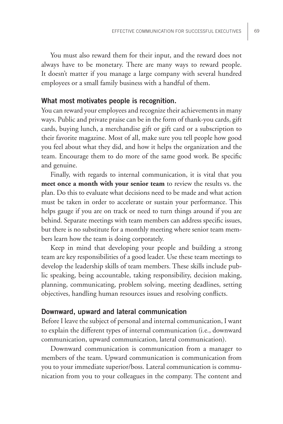You must also reward them for their input, and the reward does not always have to be monetary. There are many ways to reward people. It doesn't matter if you manage a large company with several hundred employees or a small family business with a handful of them.

## **What most motivates people is recognition.**

You can reward your employees and recognize their achievements in many ways. Public and private praise can be in the form of thank-you cards, gift cards, buying lunch, a merchandise gift or gift card or a subscription to their favorite magazine. Most of all, make sure you tell people how good you feel about what they did, and how it helps the organization and the team. Encourage them to do more of the same good work. Be specific and genuine.

Finally, with regards to internal communication, it is vital that you **meet once a month with your senior team** to review the results vs. the plan. Do this to evaluate what decisions need to be made and what action must be taken in order to accelerate or sustain your performance. This helps gauge if you are on track or need to turn things around if you are behind. Separate meetings with team members can address specific issues, but there is no substitute for a monthly meeting where senior team members learn how the team is doing corporately.

Keep in mind that developing your people and building a strong team are key responsibilities of a good leader. Use these team meetings to develop the leadership skills of team members. These skills include public speaking, being accountable, taking responsibility, decision making, planning, communicating, problem solving, meeting deadlines, setting objectives, handling human resources issues and resolving conflicts.

#### **Downward, upward and lateral communication**

Before I leave the subject of personal and internal communication, I want to explain the different types of internal communication (i.e., downward communication, upward communication, lateral communication).

Downward communication is communication from a manager to members of the team. Upward communication is communication from you to your immediate superior/boss. Lateral communication is communication from you to your colleagues in the company. The content and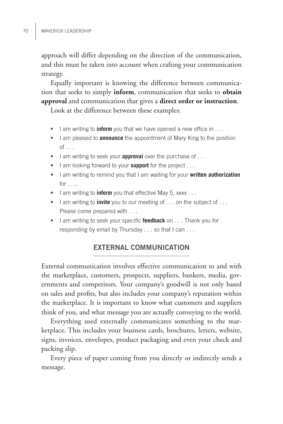approach will differ depending on the direction of the communication, and this must be taken into account when crafting your communication strategy.

Equally important is knowing the difference between communication that seeks to simply **inform**, communication that seeks to **obtain approval** and communication that gives a **direct order or instruction**.

Look at the difference between these examples:

- I am writing to **inform** you that we have opened a new office in . . .
- I am pleased to **announce** the appointment of Mary King to the position  $of \ldots$
- I am writing to seek your **approval** over the purchase of . . .
- I am looking forward to your **support** for the project . . .
- I am writing to remind you that I am waiting for your **written authorization**  $for \ldots$
- I am writing to **inform** you that effective May 5, xxxx . . .
- I am writing to **invite** you to our meeting of . . . on the subject of . . . Please come prepared with . . .
- I am writing to seek your specific **feedback** on . . . Thank you for responding by email by Thursday . . . so that I can . . .

# **EXTERNAL COMMUNICATION**

External communication involves effective communication to and with the marketplace, customers, prospects, suppliers, bankers, media, governments and competitors. Your company's goodwill is not only based on sales and profits, but also includes your company's reputation within the marketplace. It is important to know what customers and suppliers think of you, and what message you are actually conveying to the world.

Everything used externally communicates something to the marketplace. This includes your business cards, brochures, letters, website, signs, invoices, envelopes, product packaging and even your check and packing slip.

Every piece of paper coming from you directly or indirectly sends a message.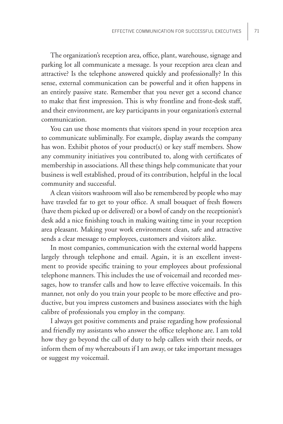The organization's reception area, office, plant, warehouse, signage and parking lot all communicate a message. Is your reception area clean and attractive? Is the telephone answered quickly and professionally? In this sense, external communication can be powerful and it often happens in an entirely passive state. Remember that you never get a second chance to make that first impression. This is why frontline and front-desk staff, and their environment, are key participants in your organization's external communication.

You can use those moments that visitors spend in your reception area to communicate subliminally. For example, display awards the company has won. Exhibit photos of your product(s) or key staff members. Show any community initiatives you contributed to, along with certificates of membership in associations. All these things help communicate that your business is well established, proud of its contribution, helpful in the local community and successful.

A clean visitors washroom will also be remembered by people who may have traveled far to get to your office. A small bouquet of fresh flowers (have them picked up or delivered) or a bowl of candy on the receptionist's desk add a nice finishing touch in making waiting time in your reception area pleasant. Making your work environment clean, safe and attractive sends a clear message to employees, customers and visitors alike.

In most companies, communication with the external world happens largely through telephone and email. Again, it is an excellent investment to provide specific training to your employees about professional telephone manners. This includes the use of voicemail and recorded messages, how to transfer calls and how to leave effective voicemails. In this manner, not only do you train your people to be more effective and productive, but you impress customers and business associates with the high calibre of professionals you employ in the company.

I always get positive comments and praise regarding how professional and friendly my assistants who answer the office telephone are. I am told how they go beyond the call of duty to help callers with their needs, or inform them of my whereabouts if I am away, or take important messages or suggest my voicemail.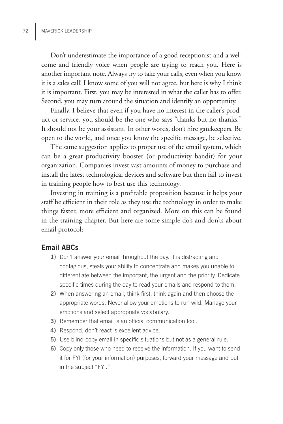Don't underestimate the importance of a good receptionist and a welcome and friendly voice when people are trying to reach you. Here is another important note. Always try to take your calls, even when you know it is a sales call! I know some of you will not agree, but here is why I think it is important. First, you may be interested in what the caller has to offer. Second, you may turn around the situation and identify an opportunity.

Finally, I believe that even if you have no interest in the caller's product or service, you should be the one who says "thanks but no thanks." It should not be your assistant. In other words, don't hire gatekeepers. Be open to the world, and once you know the specific message, be selective.

The same suggestion applies to proper use of the email system, which can be a great productivity booster (or productivity bandit) for your organization. Companies invest vast amounts of money to purchase and install the latest technological devices and software but then fail to invest in training people how to best use this technology.

Investing in training is a profitable proposition because it helps your staff be efficient in their role as they use the technology in order to make things faster, more efficient and organized. More on this can be found in the training chapter. But here are some simple do's and don'ts about email protocol:

## **Email ABCs**

- **1)** Don't answer your email throughout the day. It is distracting and contagious, steals your ability to concentrate and makes you unable to differentiate between the important, the urgent and the priority. Dedicate specific times during the day to read your emails and respond to them.
- **2)** When answering an email, think first, think again and then choose the appropriate words. Never allow your emotions to run wild. Manage your emotions and select appropriate vocabulary.
- **3)** Remember that email is an official communication tool.
- **4)** Respond, don't react is excellent advice.
- **5)** Use blind-copy email in specific situations but not as a general rule.
- **6)** Copy only those who need to receive the information. If you want to send it for FYI (for your information) purposes, forward your message and put in the subject "FYI."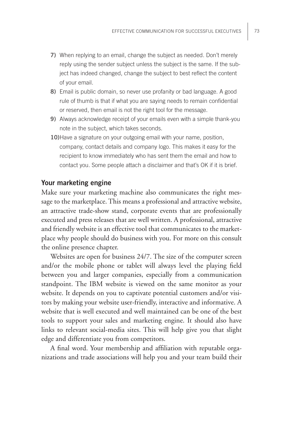- **7)** When replying to an email, change the subject as needed. Don't merely reply using the sender subject unless the subject is the same. If the subject has indeed changed, change the subject to best reflect the content of your email.
- **8)** Email is public domain, so never use profanity or bad language. A good rule of thumb is that if what you are saying needs to remain confidential or reserved, then email is not the right tool for the message.
- **9)** Always acknowledge receipt of your emails even with a simple thank-you note in the subject, which takes seconds.
- **10)**Have a signature on your outgoing email with your name, position, company, contact details and company logo. This makes it easy for the recipient to know immediately who has sent them the email and how to contact you. Some people attach a disclaimer and that's OK if it is brief.

### **Your marketing engine**

Make sure your marketing machine also communicates the right message to the marketplace. This means a professional and attractive website, an attractive trade-show stand, corporate events that are professionally executed and press releases that are well written. A professional, attractive and friendly website is an effective tool that communicates to the marketplace why people should do business with you. For more on this consult the online presence chapter.

Websites are open for business 24/7. The size of the computer screen and/or the mobile phone or tablet will always level the playing field between you and larger companies, especially from a communication standpoint. The IBM website is viewed on the same monitor as your website. It depends on you to captivate potential customers and/or visitors by making your website user-friendly, interactive and informative. A website that is well executed and well maintained can be one of the best tools to support your sales and marketing engine. It should also have links to relevant social-media sites. This will help give you that slight edge and differentiate you from competitors.

A final word. Your membership and affiliation with reputable organizations and trade associations will help you and your team build their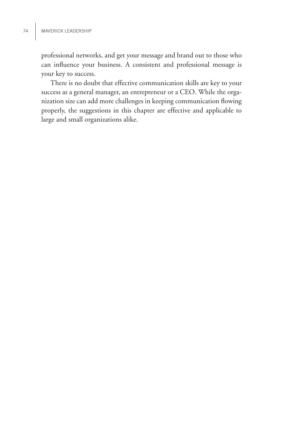professional networks, and get your message and brand out to those who can influence your business. A consistent and professional message is your key to success.

There is no doubt that effective communication skills are key to your success as a general manager, an entrepreneur or a CEO. While the organization size can add more challenges in keeping communication flowing properly, the suggestions in this chapter are effective and applicable to large and small organizations alike.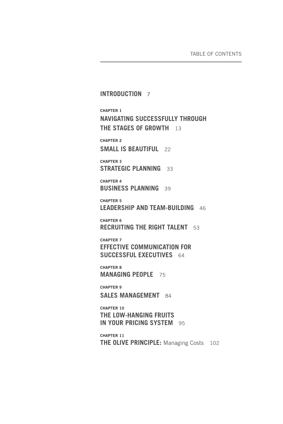**INTRODUCTION** 7 **CHAPTER 1 NAVIGATING SUCCESSFULLY THROUGH THE STAGES OF GROWTH** 13 **CHAPTER 2 SMALL IS BEAUTIFUL** 22 **CHAPTER 3 STRATEGIC PLANNING** 33 **CHAPTER 4 BUSINESS PLANNING** 39 **CHAPTER 5 LEADERSHIP AND TEAM-BUILDING** 46 **CHAPTER 6 RECRUITING THE RIGHT TALENT** 53 **CHAPTER 7 EFFECTIVE COMMUNICATION FOR SUCCESSFUL EXECUTIVES** 64 **CHAPTER 8 MANAGING PEOPLE** 75 **CHAPTER 9 SALES MANAGEMENT** 84 **CHAPTER 10 THE LOW-HANGING FRUITS IN YOUR PRICING SYSTEM** 95

**CHAPTER 11 THE OLIVE PRINCIPLE:** Managing Costs102